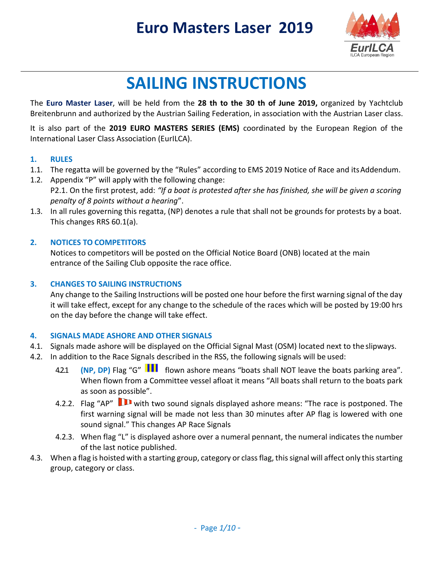

# **SAILING INSTRUCTIONS**

The **Euro Master Laser**, will be held from the **28 th to the 30 th of June 2019,** organized by Yachtclub Breitenbrunn and authorized by the Austrian Sailing Federation, in association with the Austrian Laser class.

It is also part of the **2019 EURO MASTERS SERIES (EMS)** coordinated by the European Region of the International Laser Class Association (EurILCA).

#### **1. RULES**

- 1.1. The regatta will be governed by the "Rules" according to EMS 2019 Notice of Race and itsAddendum.
- 1.2. Appendix "P" will apply with the following change: P2.1. On the first protest, add: "If a boat is protested after she has finished, she will be given a scoring *penalty of 8 points without a hearing*".
- 1.3. In all rules governing this regatta, (NP) denotes a rule that shall not be grounds for protests by a boat. This changes RRS 60.1(a).

#### **2. NOTICES TO COMPETITORS**

Notices to competitors will be posted on the Official Notice Board (ONB) located at the main entrance of the Sailing Club opposite the race office.

#### **3. CHANGES TO SAILING INSTRUCTIONS**

Any change to the Sailing Instructions will be posted one hour before the first warning signal of the day it will take effect, except for any change to the schedule of the races which will be posted by 19:00 hrs on the day before the change will take effect.

#### **4. SIGNALS MADE ASHORE AND OTHER SIGNALS**

- 4.1. Signals made ashore will be displayed on the Official Signal Mast (OSM) located next to the slipways.
- 4.2. In addition to the Race Signals described in the RSS, the following signals will be used:
	- 4.2.1 **(NP, DP)** Flag "G" **III** flown ashore means "boats shall NOT leave the boats parking area". When flown from a Committee vessel afloat it means "All boats shall return to the boats park as soon as possible".
	- 4.2.2. Flag "AP" I with two sound signals displayed ashore means: "The race is postponed. The first warning signal will be made not less than 30 minutes after AP flag is lowered with one sound signal." This changes AP Race Signals
	- 4.2.3. When flag "L" is displayed ashore over a numeral pennant, the numeral indicates the number of the last notice published.
- 4.3. When a flag is hoisted with a starting group, category or class flag, this signal will affect only this starting group, category or class.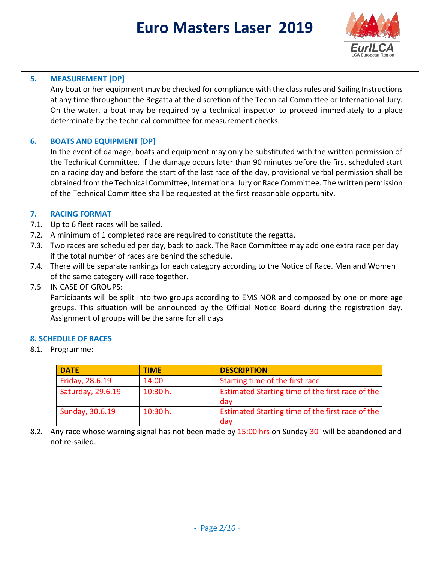

#### **5. MEASUREMENT [DP]**

Any boat or her equipment may be checked for compliance with the class rules and Sailing Instructions at any time throughout the Regatta at the discretion of the Technical Committee or International Jury. On the water, a boat may be required by a technical inspector to proceed immediately to a place determinate by the technical committee for measurement checks.

#### **6. BOATS AND EQUIPMENT [DP]**

In the event of damage, boats and equipment may only be substituted with the written permission of the Technical Committee. If the damage occurs later than 90 minutes before the first scheduled start on a racing day and before the start of the last race of the day, provisional verbal permission shall be obtained from the Technical Committee, International Jury or Race Committee. The written permission of the Technical Committee shall be requested at the first reasonable opportunity.

#### **7. RACING FORMAT**

- 7.1. Up to 6 fleet races will be sailed.
- 7.2. A minimum of 1 completed race are required to constitute the regatta.
- 7.3. Two races are scheduled per day, back to back. The Race Committee may add one extra race per day if the total number of races are behind the schedule.
- 7.4. There will be separate rankings for each category according to the Notice of Race. Men and Women of the same category will race together.

#### 7.5 IN CASE OF GROUPS:

Participants will be split into two groups according to EMS NOR and composed by one or more age groups. This situation will be announced by the Official Notice Board during the registration day. Assignment of groups will be the same for all days

#### **8. SCHEDULE OF RACES**

8.1. Programme:

| <b>DATE</b>       | <b>TIME</b> | <b>DESCRIPTION</b>                                      |
|-------------------|-------------|---------------------------------------------------------|
| Friday, 28.6.19   | 14:00       | Starting time of the first race                         |
| Saturday, 29.6.19 | 10:30 h.    | Estimated Starting time of the first race of the<br>day |
| Sunday, 30.6.19   | 10:30 h.    | Estimated Starting time of the first race of the<br>day |

8.2. Any race whose warning signal has not been made by 15:00 hrs on Sunday  $30<sup>h</sup>$  will be abandoned and not re-sailed.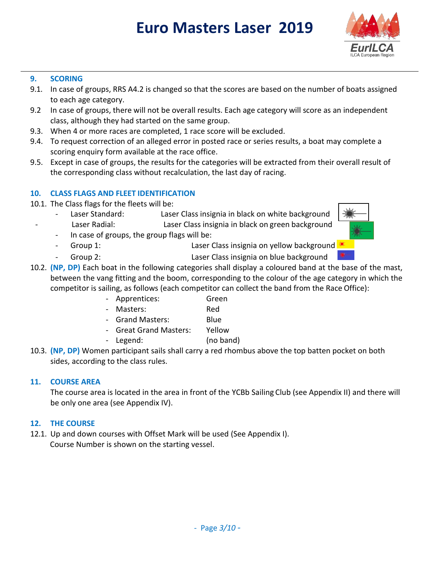

#### **9. SCORING**

- 9.1. In case of groups, RRS A4.2 is changed so that the scores are based on the number of boats assigned to each age category.
- 9.2 In case of groups, there will not be overall results. Each age category will score as an independent class, although they had started on the same group.
- 9.3. When 4 or more races are completed, 1 race score will be excluded.
- 9.4. To request correction of an alleged error in posted race or series results, a boat may complete a scoring enquiry form available at the race office.
- 9.5. Except in case of groups, the results for the categories will be extracted from their overall result of the corresponding class without recalculation, the last day of racing.

#### **10. CLASS FLAGS AND FLEET IDENTIFICATION**

- 10.1. The Class flags for the fleets will be:
	- Laser Standard: Laser Class insignia in black on white background
	- Laser Radial: Laser Class insignia in black on green background
	- In case of groups, the group flags will be:
	- Group 1: Caser Class insignia on yellow background
	- Group 2: Laser Class insignia on blue background
- 10.2. **(NP, DP)** Each boat in the following categories shall display a coloured band at the base of the mast, between the vang fitting and the boom, corresponding to the colour of the age category in which the competitor is sailing, as follows (each competitor can collect the band from the Race Office):
	- Apprentices: Green
	- Masters: Red
	- Grand Masters: Blue
	- Great Grand Masters: Yellow
	- Legend: (no band)
- 10.3. **(NP, DP)** Women participant sails shall carry a red rhombus above the top batten pocket on both sides, according to the class rules.

#### **11. COURSE AREA**

The course area is located in the area in front of the YCBb Sailing Club (see Appendix II) and there will be only one area (see Appendix IV).

#### **12. THE COURSE**

12.1. Up and down courses with Offset Mark will be used (See Appendix I). Course Number is shown on the starting vessel.

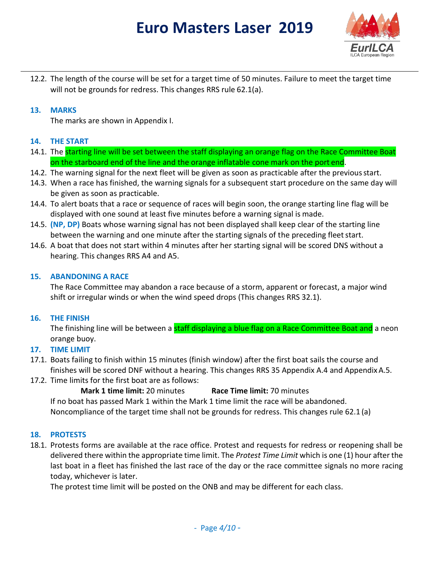

12.2. The length of the course will be set for a target time of 50 minutes. Failure to meet the target time will not be grounds for redress. This changes RRS rule 62.1(a).

#### **13. MARKS**

The marks are shown in Appendix I.

#### **14. THE START**

- 14.1. The starting line will be set between the staff displaying an orange flag on the Race Committee Boat on the starboard end of the line and the orange inflatable cone mark on the port end.
- 14.2. The warning signal for the next fleet will be given as soon as practicable after the previous start.
- 14.3. When a race has finished, the warning signals for a subsequent start procedure on the same day will be given as soon as practicable.
- 14.4. To alert boats that a race or sequence of races will begin soon, the orange starting line flag will be displayed with one sound at least five minutes before a warning signal is made.
- 14.5. **(NP, DP)** Boats whose warning signal has not been displayed shall keep clear of the starting line between the warning and one minute after the starting signals of the preceding fleet start.
- 14.6. A boat that does not start within 4 minutes after her starting signal will be scored DNS without a hearing. This changes RRS A4 and A5.

#### **15. ABANDONING A RACE**

The Race Committee may abandon a race because of a storm, apparent or forecast, a major wind shift or irregular winds or when the wind speed drops (This changes RRS 32.1).

#### **16. THE FINISH**

The finishing line will be between a **staff displaying a blue flag on a Race Committee Boat and** a neon orange buoy.

#### **17. TIME LIMIT**

- 17.1. Boats failing to finish within 15 minutes (finish window) after the first boat sails the course and finishes will be scored DNF without a hearing. This changes RRS 35 Appendix A.4 and AppendixA.5.
- 17.2. Time limits for the first boat are as follows:

**Mark 1 time limit:** 20 minutes **Race Time limit:** 70 minutes If no boat has passed Mark 1 within the Mark 1 time limit the race will be abandoned. Noncompliance of the target time shall not be grounds for redress. This changes rule 62.1 (a)

#### **18. PROTESTS**

18.1. Protests forms are available at the race office. Protest and requests for redress or reopening shall be delivered there within the appropriate time limit. The *Protest Time Limit* which is one (1) hour after the last boat in a fleet has finished the last race of the day or the race committee signals no more racing today, whichever is later.

The protest time limit will be posted on the ONB and may be different for each class.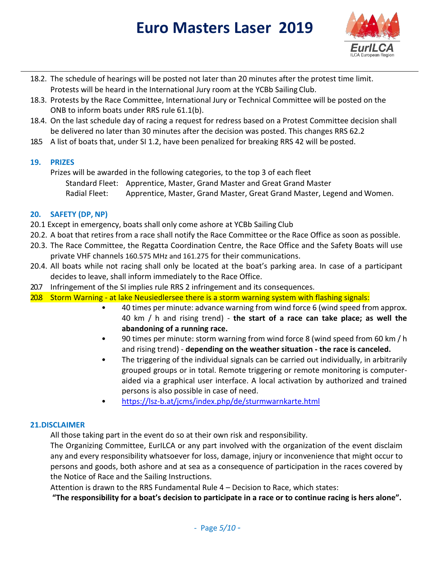

- 18.2. The schedule of hearings will be posted not later than 20 minutes after the protest time limit. Protests will be heard in the International Jury room at the YCBb Sailing Club.
- 18.3. Protests by the Race Committee, International Jury or Technical Committee will be posted on the ONB to inform boats under RRS rule 61.1(b).
- 18.4. On the last schedule day of racing a request for redress based on a Protest Committee decision shall be delivered no later than 30 minutes after the decision was posted. This changes RRS 62.2
- 18.5 A list of boats that, under SI 1.2, have been penalized for breaking RRS 42 will be posted.

#### **19. PRIZES**

Prizes will be awarded in the following categories, to the top 3 of each fleet Standard Fleet: Apprentice, Master, Grand Master and Great Grand Master Radial Fleet: Apprentice, Master, Grand Master, Great Grand Master, Legend and Women.

#### **20. SAFETY (DP, NP)**

- 20.1 Except in emergency, boats shall only come ashore at YCBb Sailing Club
- 20.2. A boat that retires from a race shall notify the Race Committee or the Race Office as soon as possible.
- 20.3. The Race Committee, the Regatta Coordination Centre, the Race Office and the Safety Boats will use private VHF channels 160.575 MHz and 161.275 for their communications.
- 20.4. All boats while not racing shall only be located at the boat's parking area. In case of a participant decides to leave, shall inform immediately to the Race Office.
- 20.7 Infringement of the SI implies rule RRS 2 infringement and its consequences.
- 20.8 Storm Warning at lake Neusiedlersee there is a storm warning system with flashing signals:
	- 40 times per minute: advance warning from wind force 6 (wind speed from approx. 40 km / h and rising trend) - **the start of a race can take place; as well the abandoning of a running race.**
	- 90 times per minute: storm warning from wind force 8 (wind speed from 60 km / h and rising trend) - **depending on the weather situation - the race is canceled.**
	- The triggering of the individual signals can be carried out individually, in arbitrarily grouped groups or in total. Remote triggering or remote monitoring is computeraided via a graphical user interface. A local activation by authorized and trained persons is also possible in case of need.
	- <https://lsz-b.at/jcms/index.php/de/sturmwarnkarte.html>

#### **21.DISCLAIMER**

All those taking part in the event do so at their own risk and responsibility.

The Organizing Committee, EurILCA or any part involved with the organization of the event disclaim any and every responsibility whatsoever for loss, damage, injury or inconvenience that might occur to persons and goods, both ashore and at sea as a consequence of participation in the races covered by the Notice of Race and the Sailing Instructions.

Attention is drawn to the RRS Fundamental Rule 4 – Decision to Race, which states:

**"The responsibility for a boat's decision to participate in a race or to continue racing is hers alone".**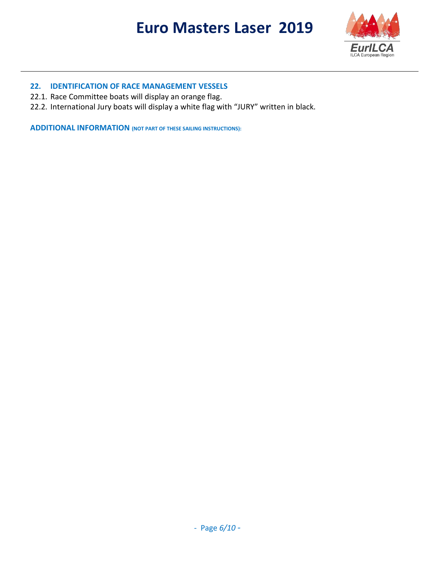

#### **22. IDENTIFICATION OF RACE MANAGEMENT VESSELS**

- 22.1. Race Committee boats will display an orange flag.
- 22.2. International Jury boats will display a white flag with "JURY" written in black.

**ADDITIONAL INFORMATION (NOT PART OF THESE SAILING INSTRUCTIONS):**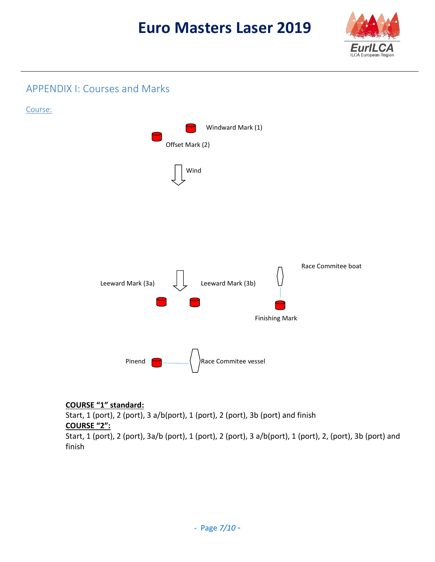

### APPENDIX I: Courses and Marks



#### **COURSE "1" standard:**

Start, 1 (port), 2 (port), 3 a/b(port), 1 (port), 2 (port), 3b (port) and finish **COURSE "2":**

Start, 1 (port), 2 (port), 3a/b (port), 1 (port), 2 (port), 3 a/b(port), 1 (port), 2, (port), 3b (port) and finish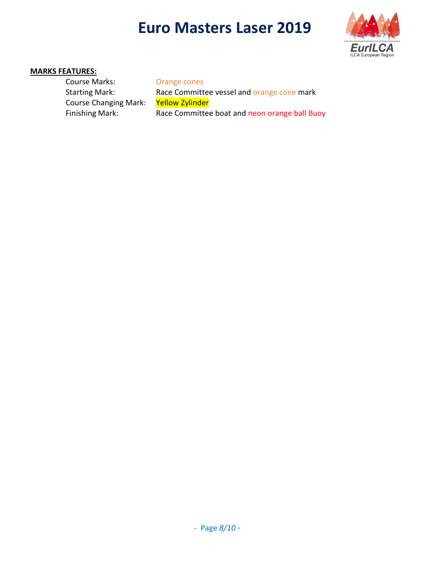

#### **MARKS FEATURES:**

Course Marks: Orange cones Starting Mark: Race Committee vessel and orange cone mark Course Changing Mark: Yellow Zylinder Finishing Mark: Race Committee boat and neon orange ball Buoy